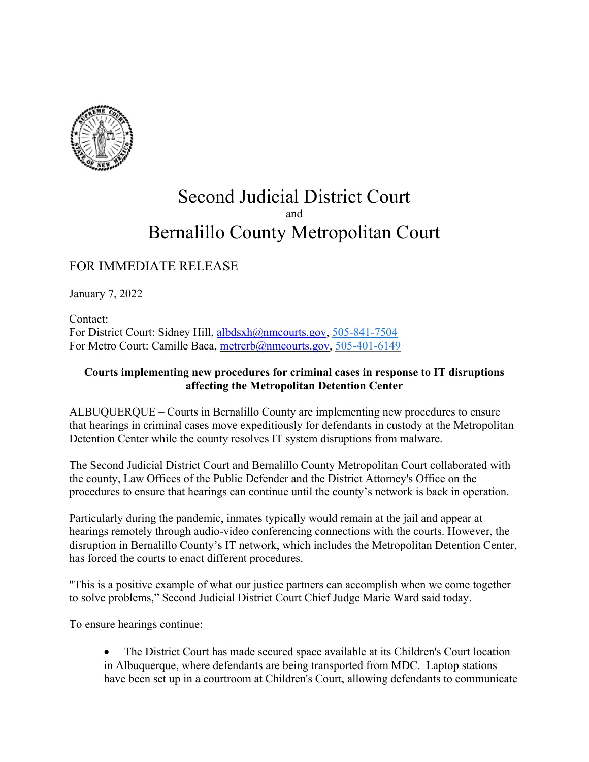

## Second Judicial District Court and Bernalillo County Metropolitan Court

## FOR IMMEDIATE RELEASE

January 7, 2022

Contact: For District Court: Sidney Hill, [albdsxh@nmcourts.gov,](mailto:albdsxh@nmcourts.gov) [505-841-7504](tel:(505)%20841-7504) For Metro Court: Camille Baca, [metrcrb@nmcourts.gov,](mailto:metrcrb@nmcourts.gov) [505-401-6149](tel:(505)%20401-6149)

## **Courts implementing new procedures for criminal cases in response to IT disruptions affecting the Metropolitan Detention Center**

ALBUQUERQUE – Courts in Bernalillo County are implementing new procedures to ensure that hearings in criminal cases move expeditiously for defendants in custody at the Metropolitan Detention Center while the county resolves IT system disruptions from malware.

The Second Judicial District Court and Bernalillo County Metropolitan Court collaborated with the county, Law Offices of the Public Defender and the District Attorney's Office on the procedures to ensure that hearings can continue until the county's network is back in operation.

Particularly during the pandemic, inmates typically would remain at the jail and appear at hearings remotely through audio-video conferencing connections with the courts. However, the disruption in Bernalillo County's IT network, which includes the Metropolitan Detention Center, has forced the courts to enact different procedures.

"This is a positive example of what our justice partners can accomplish when we come together to solve problems," Second Judicial District Court Chief Judge Marie Ward said today.

To ensure hearings continue:

• The District Court has made secured space available at its Children's Court location in Albuquerque, where defendants are being transported from MDC. Laptop stations have been set up in a courtroom at Children's Court, allowing defendants to communicate